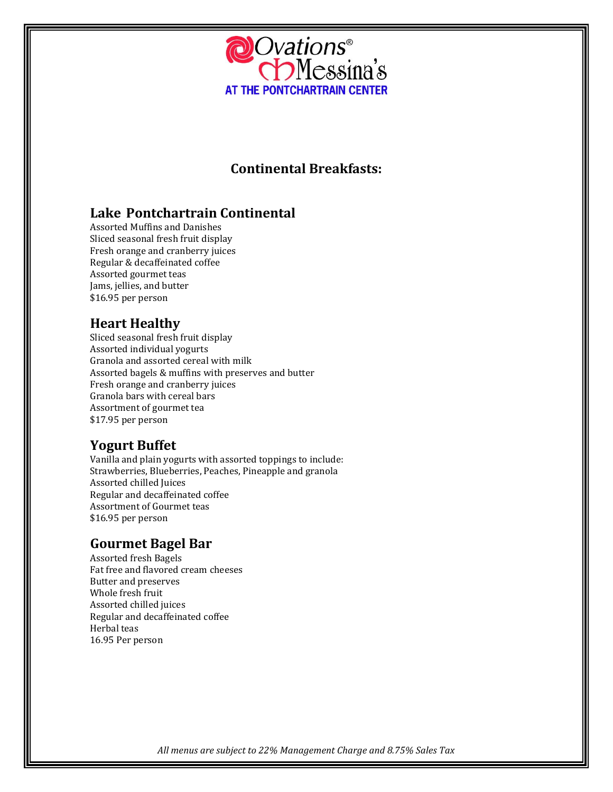

# **Continental Breakfasts:**

# **Lake Pontchartrain Continental**

Assorted Muffins and Danishes Sliced seasonal fresh fruit display Fresh orange and cranberry juices Regular & decaffeinated coffee Assorted gourmet teas Jams, jellies, and butter \$16.95 per person

# **Heart Healthy**

Sliced seasonal fresh fruit display Assorted individual yogurts Granola and assorted cereal with milk Assorted bagels & muffins with preserves and butter Fresh orange and cranberry juices Granola bars with cereal bars Assortment of gourmet tea \$17.95 per person

# **Yogurt Buffet**

Vanilla and plain yogurts with assorted toppings to include: Strawberries, Blueberries, Peaches, Pineapple and granola Assorted chilled Juices Regular and decaffeinated coffee Assortment of Gourmet teas \$16.95 per person

# **Gourmet Bagel Bar**

Assorted fresh Bagels Fat free and flavored cream cheeses Butter and preserves Whole fresh fruit Assorted chilled juices Regular and decaffeinated coffee Herbal teas 16.95 Per person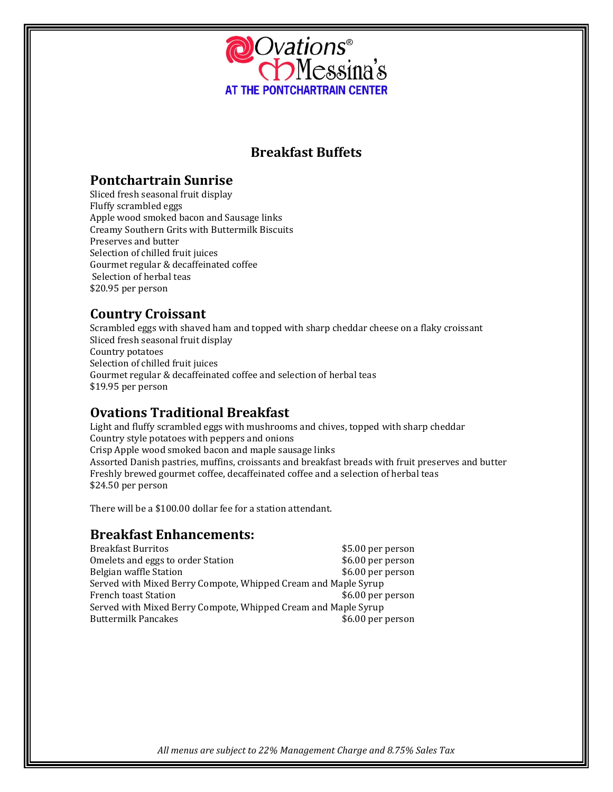

# **Breakfast Buffets**

## **Pontchartrain Sunrise**

Sliced fresh seasonal fruit display Fluffy scrambled eggs Apple wood smoked bacon and Sausage links Creamy Southern Grits with Buttermilk Biscuits Preserves and butter Selection of chilled fruit juices Gourmet regular & decaffeinated coffee Selection of herbal teas \$20.95 per person

# **Country Croissant**

Scrambled eggs with shaved ham and topped with sharp cheddar cheese on a flaky croissant Sliced fresh seasonal fruit display Country potatoes Selection of chilled fruit juices Gourmet regular & decaffeinated coffee and selection of herbal teas \$19.95 per person

# **Ovations Traditional Breakfast**

Light and fluffy scrambled eggs with mushrooms and chives, topped with sharp cheddar Country style potatoes with peppers and onions Crisp Apple wood smoked bacon and maple sausage links Assorted Danish pastries, muffins, croissants and breakfast breads with fruit preserves and butter Freshly brewed gourmet coffee, decaffeinated coffee and a selection of herbal teas \$24.50 per person

There will be a \$100.00 dollar fee for a station attendant.

## **Breakfast Enhancements:**

| \$5.00 per person                                              |  |  |
|----------------------------------------------------------------|--|--|
| \$6.00 per person                                              |  |  |
| \$6.00 per person                                              |  |  |
| Served with Mixed Berry Compote, Whipped Cream and Maple Syrup |  |  |
| \$6.00 per person                                              |  |  |
| Served with Mixed Berry Compote, Whipped Cream and Maple Syrup |  |  |
| \$6.00 per person                                              |  |  |
|                                                                |  |  |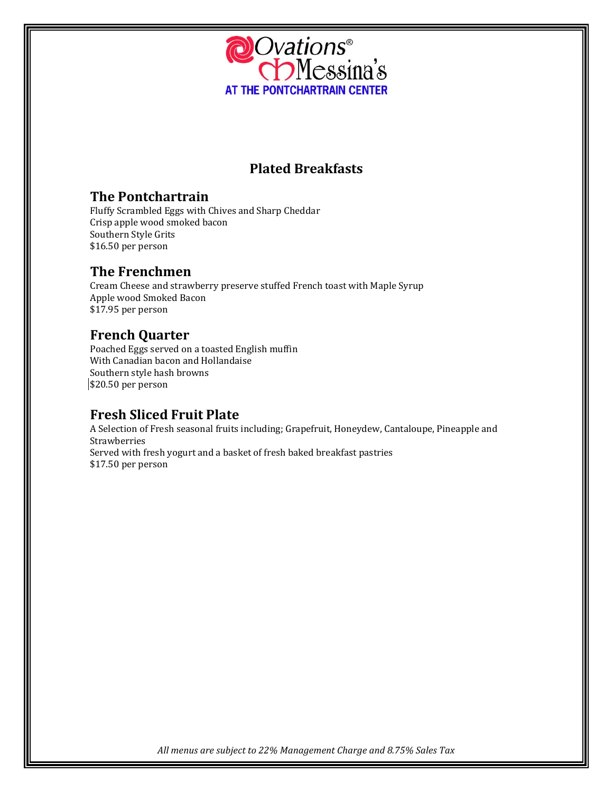

# **Plated Breakfasts**

## **The Pontchartrain**

Fluffy Scrambled Eggs with Chives and Sharp Cheddar Crisp apple wood smoked bacon Southern Style Grits \$16.50 per person

# **The Frenchmen**

Cream Cheese and strawberry preserve stuffed French toast with Maple Syrup Apple wood Smoked Bacon \$17.95 per person

# **French Quarter**

Poached Eggs served on a toasted English muffin With Canadian bacon and Hollandaise Southern style hash browns \$20.50 per person

# **Fresh Sliced Fruit Plate**

A Selection of Fresh seasonal fruits including; Grapefruit, Honeydew, Cantaloupe, Pineapple and Strawberries Served with fresh yogurt and a basket of fresh baked breakfast pastries \$17.50 per person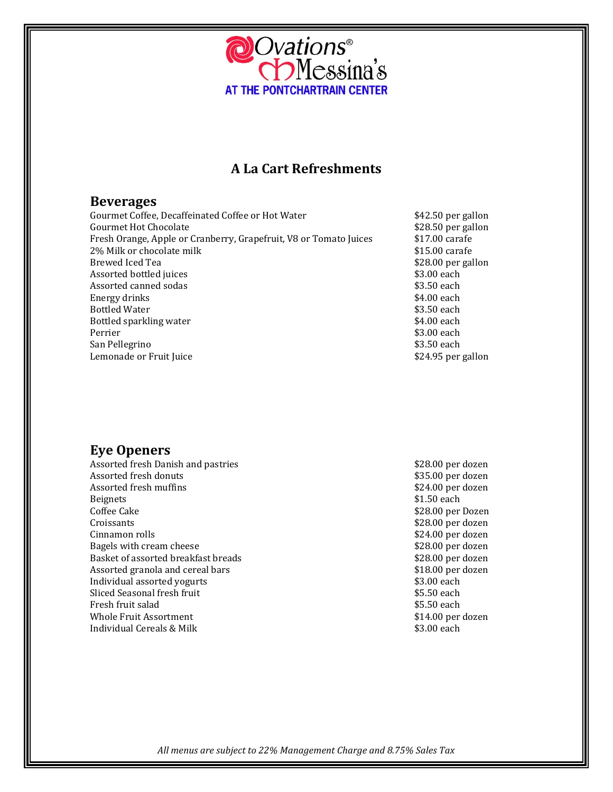

## **A La Cart Refreshments**

### **Beverages**

Gourmet Coffee, Decaffeinated Coffee or Hot Water **\$42.50** per gallon Gourmet Hot Chocolate **business of the Same of the Search Search** to the Season per gallon Fresh Orange. Apple or Cranberry, Grapefruit, V8 or Tomato Juices **S17.00** carafe Fresh Orange, Apple or Cranberry, Grapefruit, V8 or Tomato Juices 2% Milk or chocolate milk  $$15.00$  carafe Brewed Iced Tea  $$28.00$  per gallon Assorted bottled juices **\$3.00 each** Assorted canned sodas \$3.50 each Energy drinks Bottled Water \$3.50 each \$3.50 each \$3.50 each \$3.50 each \$3.50 each \$3.50 each \$3.50 each \$3.50 each \$3.50 each \$3.50 each \$3.50 each \$3.50 each \$3.50 each \$3.50 each \$3.50 each \$3.50 each \$3.50 each \$3.50 each \$3.50 each Bottled sparkling water  $\frac{1}{2}$  settled sparkling water Perrier  $\sim$  83.00 each San Pellegrino **\$3.50** each Lemonade or Fruit Juice **Example 2018 Example 2018 Example 2018 S24.95** per gallon

## **Eye Openers**

Assorted fresh Danish and pastries **\$28.00 per dozen** \$28.00 per dozen Assorted fresh donuts **and the set of the set of the set of the set of the set of the set of the set of the set of the set of the set of the set of the set of the set of the set of the set of the set of the set of the set** Assorted fresh muffins **Assorted fresh muffins**  $$24.00$  per dozen Beignets \$1.50 each \$1.50 each \$1.50 each \$1.50 each \$1.50 each \$1.50 each \$1.50 each \$1.50 each \$1.50 each \$1.50 each \$1.50 each \$1.50 each \$1.50 each \$1.50 each \$1.50 each \$1.50 each \$1.50 each \$1.50 each \$1.50 each \$1.5 Coffee Cake \$28.00 per Dozen Croissants \$28.00 per dozen Cinnamon rolls \$24.00 per dozen Bagels with cream cheese **\$28.00** per dozen Basket of assorted breakfast breads  $$28.00$  per dozen Assorted granola and cereal bars **\$18.00 per dozen** Individual assorted yogurts **\$3.00** each part of the state of the state of the state of the state of the state of the state of the state of the state of the state of the state of the state of the state of the state of the Sliced Seasonal fresh fruit **\$5.50 each**  $\frac{1}{2}$  \$5.50 each **\$5.50 each** Fresh fruit salad **\$5.50 each** Whole Fruit Assortment **\$14.00** per dozen Individual Cereals & Milk  $\sim$  83.00 each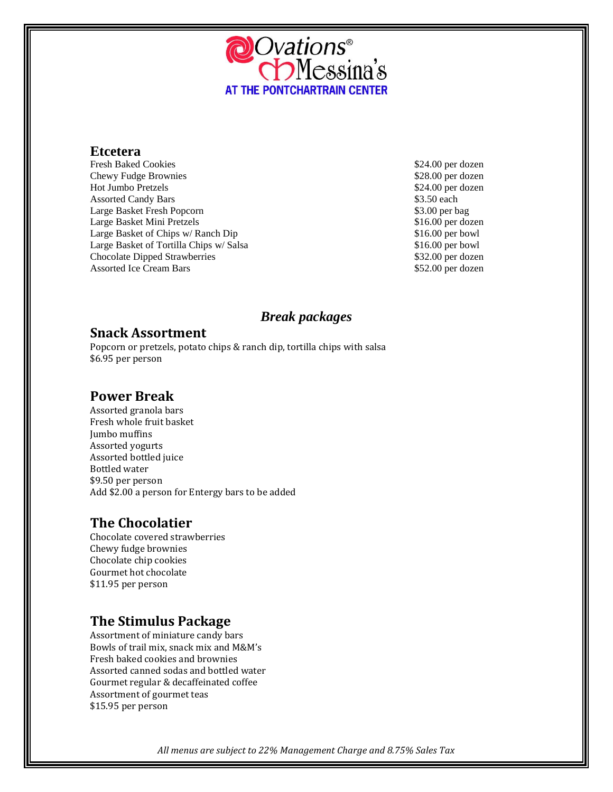

#### **Etcetera**

Fresh Baked Cookies  $$24.00$  per dozen Chewy Fudge Brownies **\$28.00** per dozen Hot Jumbo Pretzels \$24.00 per dozen Assorted Candy Bars  $$3.50$  each Large Basket Fresh Popcorn  $\$3.00$  per bag Large Basket Mini Pretzels  $$16.00$  per dozen Large Basket of Chips w/ Ranch Dip \$16.00 per bowl Large Basket of Tortilla Chips w/ Salsa \$16.00 per bowl Chocolate Dipped Strawberries \$32.00 per dozen Assorted Ice Cream Bars  $$52.00$  per dozen

## *Break packages*

## **Snack Assortment**

Popcorn or pretzels, potato chips & ranch dip, tortilla chips with salsa \$6.95 per person

## **Power Break**

Assorted granola bars Fresh whole fruit basket Jumbo muffins Assorted yogurts Assorted bottled juice Bottled water \$9.50 per person Add \$2.00 a person for Entergy bars to be added

# **The Chocolatier**

Chocolate covered strawberries Chewy fudge brownies Chocolate chip cookies Gourmet hot chocolate \$11.95 per person

# **The Stimulus Package**

Assortment of miniature candy bars Bowls of trail mix, snack mix and M&M's Fresh baked cookies and brownies Assorted canned sodas and bottled water Gourmet regular & decaffeinated coffee Assortment of gourmet teas \$15.95 per person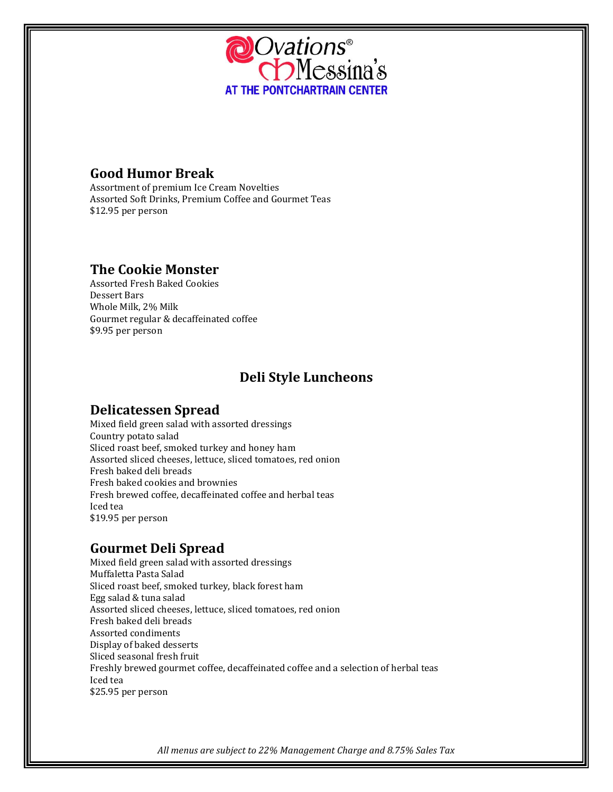

# **Good Humor Break**

Assortment of premium Ice Cream Novelties Assorted Soft Drinks, Premium Coffee and Gourmet Teas \$12.95 per person

# **The Cookie Monster**

Assorted Fresh Baked Cookies Dessert Bars Whole Milk, 2% Milk Gourmet regular & decaffeinated coffee \$9.95 per person

# **Deli Style Luncheons**

## **Delicatessen Spread**

Mixed field green salad with assorted dressings Country potato salad Sliced roast beef, smoked turkey and honey ham Assorted sliced cheeses, lettuce, sliced tomatoes, red onion Fresh baked deli breads Fresh baked cookies and brownies Fresh brewed coffee, decaffeinated coffee and herbal teas Iced tea \$19.95 per person

# **Gourmet Deli Spread**

Mixed field green salad with assorted dressings Muffaletta Pasta Salad Sliced roast beef, smoked turkey, black forest ham Egg salad & tuna salad Assorted sliced cheeses, lettuce, sliced tomatoes, red onion Fresh baked deli breads Assorted condiments Display of baked desserts Sliced seasonal fresh fruit Freshly brewed gourmet coffee, decaffeinated coffee and a selection of herbal teas Iced tea \$25.95 per person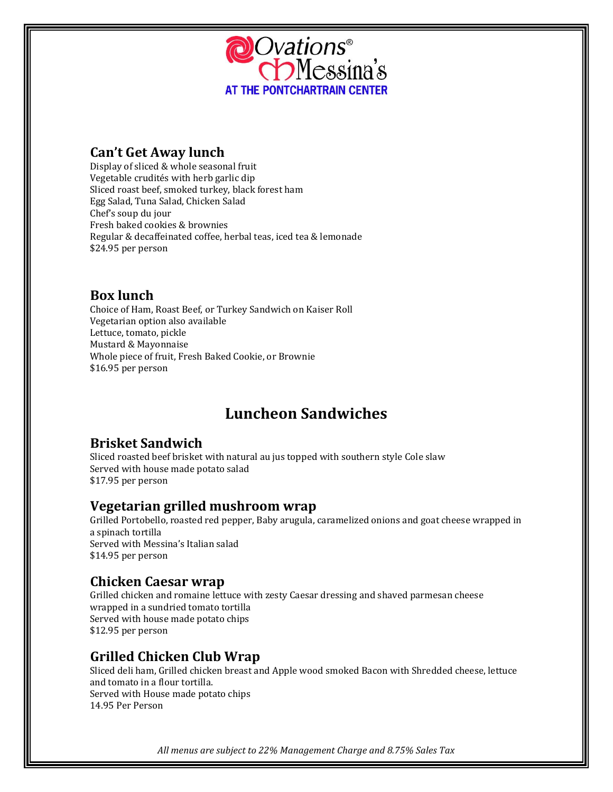

## **Can't Get Away lunch**

Display of sliced & whole seasonal fruit Vegetable crudités with herb garlic dip Sliced roast beef, smoked turkey, black forest ham Egg Salad, Tuna Salad, Chicken Salad Chef's soup du jour Fresh baked cookies & brownies Regular & decaffeinated coffee, herbal teas, iced tea & lemonade \$24.95 per person

# **Box lunch**

Choice of Ham, Roast Beef, or Turkey Sandwich on Kaiser Roll Vegetarian option also available Lettuce, tomato, pickle Mustard & Mayonnaise Whole piece of fruit, Fresh Baked Cookie, or Brownie \$16.95 per person

# **Luncheon Sandwiches**

# **Brisket Sandwich**

Sliced roasted beef brisket with natural au jus topped with southern style Cole slaw Served with house made potato salad \$17.95 per person

## **Vegetarian grilled mushroom wrap**

Grilled Portobello, roasted red pepper, Baby arugula, caramelized onions and goat cheese wrapped in a spinach tortilla Served with Messina's Italian salad \$14.95 per person

## **Chicken Caesar wrap**

Grilled chicken and romaine lettuce with zesty Caesar dressing and shaved parmesan cheese wrapped in a sundried tomato tortilla Served with house made potato chips \$12.95 per person

# **Grilled Chicken Club Wrap**

Sliced deli ham, Grilled chicken breast and Apple wood smoked Bacon with Shredded cheese, lettuce and tomato in a flour tortilla. Served with House made potato chips 14.95 Per Person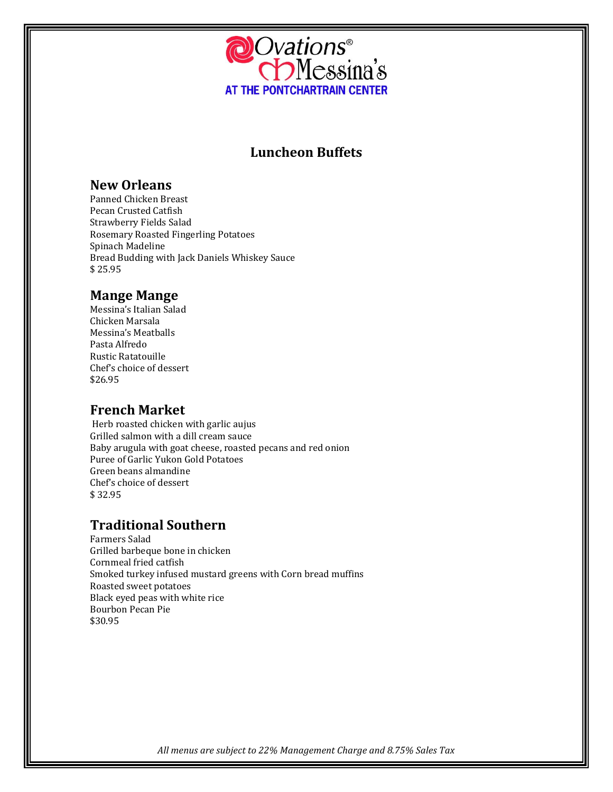

# **Luncheon Buffets**

## **New Orleans**

Panned Chicken Breast Pecan Crusted Catfish Strawberry Fields Salad Rosemary Roasted Fingerling Potatoes Spinach Madeline Bread Budding with Jack Daniels Whiskey Sauce \$ 25.95

## **Mange Mange**

Messina's Italian Salad Chicken Marsala Messina's Meatballs Pasta Alfredo Rustic Ratatouille Chef's choice of dessert \$26.95

## **French Market**

Herb roasted chicken with garlic aujus Grilled salmon with a dill cream sauce Baby arugula with goat cheese, roasted pecans and red onion Puree of Garlic Yukon Gold Potatoes Green beans almandine Chef's choice of dessert \$ 32.95

# **Traditional Southern**

Farmers Salad Grilled barbeque bone in chicken Cornmeal fried catfish Smoked turkey infused mustard greens with Corn bread muffins Roasted sweet potatoes Black eyed peas with white rice Bourbon Pecan Pie \$30.95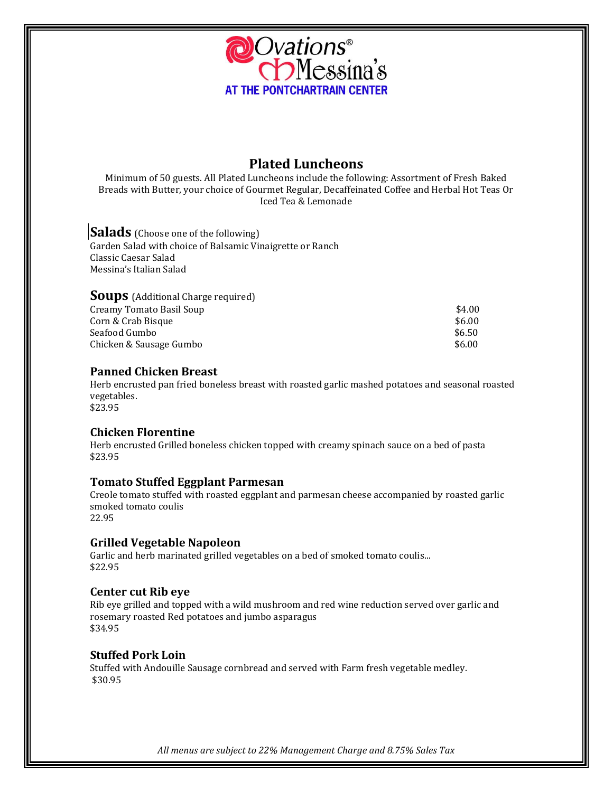

## **Plated Luncheons**

Minimum of 50 guests. All Plated Luncheons include the following: Assortment of Fresh Baked Breads with Butter, your choice of Gourmet Regular, Decaffeinated Coffee and Herbal Hot Teas Or Iced Tea & Lemonade

**Salads** (Choose one of the following) Garden Salad with choice of Balsamic Vinaigrette or Ranch Classic Caesar Salad Messina's Italian Salad

| <b>Soups</b> (Additional Charge required) |        |
|-------------------------------------------|--------|
| Creamy Tomato Basil Soup                  | \$4.00 |
| Corn & Crab Bisque                        | \$6.00 |
| Seafood Gumbo                             | \$6.50 |
| Chicken & Sausage Gumbo                   | \$6.00 |

#### **Panned Chicken Breast**

Herb encrusted pan fried boneless breast with roasted garlic mashed potatoes and seasonal roasted vegetables. \$23.95

#### **Chicken Florentine**

Herb encrusted Grilled boneless chicken topped with creamy spinach sauce on a bed of pasta \$23.95

#### **Tomato Stuffed Eggplant Parmesan**

Creole tomato stuffed with roasted eggplant and parmesan cheese accompanied by roasted garlic smoked tomato coulis 22.95

#### **Grilled Vegetable Napoleon**

Garlic and herb marinated grilled vegetables on a bed of smoked tomato coulis... \$22.95

#### **Center cut Rib eye**

Rib eye grilled and topped with a wild mushroom and red wine reduction served over garlic and rosemary roasted Red potatoes and jumbo asparagus \$34.95

#### **Stuffed Pork Loin**

Stuffed with Andouille Sausage cornbread and served with Farm fresh vegetable medley. \$30.95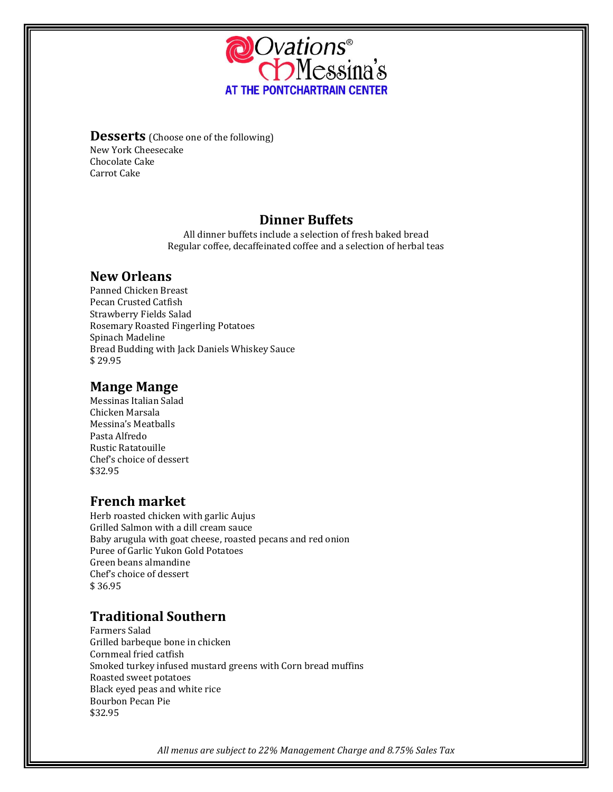

**Desserts** (Choose one of the following) New York Cheesecake Chocolate Cake Carrot Cake

## **Dinner Buffets**

All dinner buffets include a selection of fresh baked bread Regular coffee, decaffeinated coffee and a selection of herbal teas

# **New Orleans**

Panned Chicken Breast Pecan Crusted Catfish Strawberry Fields Salad Rosemary Roasted Fingerling Potatoes Spinach Madeline Bread Budding with Jack Daniels Whiskey Sauce \$ 29.95

# **Mange Mange**

Messinas Italian Salad Chicken Marsala Messina's Meatballs Pasta Alfredo Rustic Ratatouille Chef's choice of dessert \$32.95

# **French market**

Herb roasted chicken with garlic Aujus Grilled Salmon with a dill cream sauce Baby arugula with goat cheese, roasted pecans and red onion Puree of Garlic Yukon Gold Potatoes Green beans almandine Chef's choice of dessert \$ 36.95

# **Traditional Southern**

Farmers Salad Grilled barbeque bone in chicken Cornmeal fried catfish Smoked turkey infused mustard greens with Corn bread muffins Roasted sweet potatoes Black eyed peas and white rice Bourbon Pecan Pie \$32.95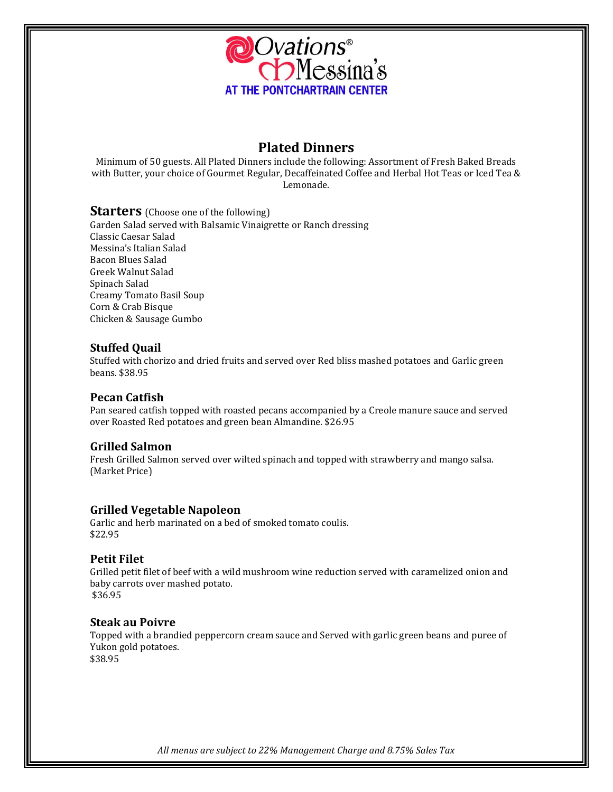

## **Plated Dinners**

Minimum of 50 guests. All Plated Dinners include the following: Assortment of Fresh Baked Breads with Butter, your choice of Gourmet Regular, Decaffeinated Coffee and Herbal Hot Teas or Iced Tea & Lemonade.

#### **Starters** (Choose one of the following)

Garden Salad served with Balsamic Vinaigrette or Ranch dressing Classic Caesar Salad Messina's Italian Salad Bacon Blues Salad Greek Walnut Salad Spinach Salad Creamy Tomato Basil Soup Corn & Crab Bisque Chicken & Sausage Gumbo

#### **Stuffed Quail**

Stuffed with chorizo and dried fruits and served over Red bliss mashed potatoes and Garlic green beans. \$38.95

#### **Pecan Catfish**

Pan seared catfish topped with roasted pecans accompanied by a Creole manure sauce and served over Roasted Red potatoes and green bean Almandine. \$26.95

#### **Grilled Salmon**

Fresh Grilled Salmon served over wilted spinach and topped with strawberry and mango salsa. (Market Price)

#### **Grilled Vegetable Napoleon**

Garlic and herb marinated on a bed of smoked tomato coulis. \$22.95

#### **Petit Filet**

Grilled petit filet of beef with a wild mushroom wine reduction served with caramelized onion and baby carrots over mashed potato. \$36.95

#### **Steak au Poivre**

Topped with a brandied peppercorn cream sauce and Served with garlic green beans and puree of Yukon gold potatoes. \$38.95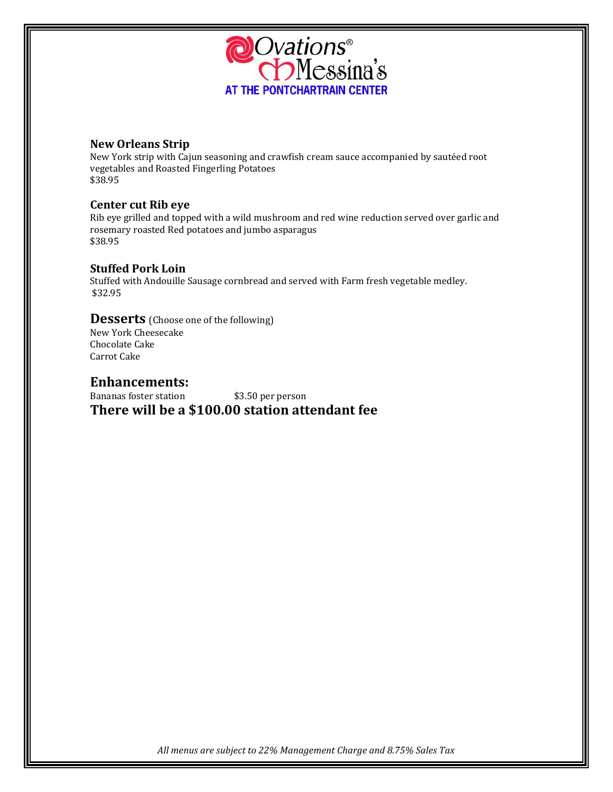

### **New Orleans Strip**

New York strip with Cajun seasoning and crawfish cream sauce accompanied by sautéed root vegetables and Roasted Fingerling Potatoes \$38.95

#### **Center cut Rib eye**

Rib eye grilled and topped with a wild mushroom and red wine reduction served over garlic and rosemary roasted Red potatoes and jumbo asparagus \$38.95

#### **Stuffed Pork Loin**

Stuffed with Andouille Sausage cornbread and served with Farm fresh vegetable medley. \$32.95

#### **Desserts** (Choose one of the following)

New York Cheesecake Chocolate Cake Carrot Cake

#### **Enhancements:**

Bananas foster station \$3.50 per person **There will be a \$100.00 station attendant fee**